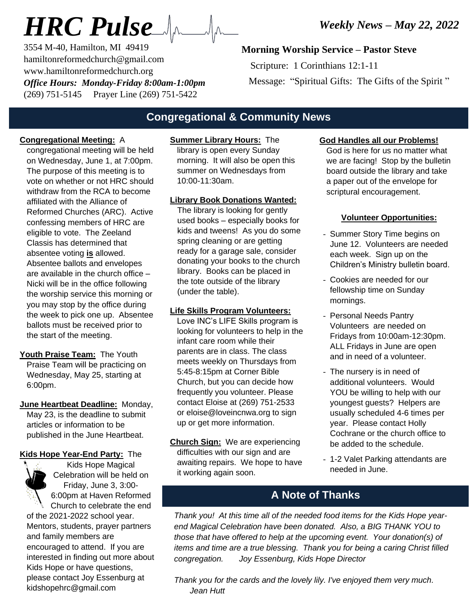# *HRC Pulse*

3554 M-40, Hamilton, MI 49419 hamiltonreformedchurch@gmail.com www.hamiltonreformedchurch.org *Office Hours: Monday-Friday 8:00am-1:00pm* (269) 751-5145 Prayer Line (269) 751-5422

## **Morning Worship Service – Pastor Steve**

 Scripture: 1 Corinthians 12:1-11 Message: "Spiritual Gifts: The Gifts of the Spirit"

## **Congregational & Community News**

### **Congregational Meeting:** A

congregational meeting will be held on Wednesday, June 1, at 7:00pm. The purpose of this meeting is to vote on whether or not HRC should withdraw from the RCA to become affiliated with the Alliance of Reformed Churches (ARC). Active confessing members of HRC are eligible to vote. The Zeeland Classis has determined that absentee voting **is** allowed. Absentee ballots and envelopes are available in the church office – Nicki will be in the office following the worship service this morning or you may stop by the office during the week to pick one up. Absentee ballots must be received prior to the start of the meeting.

**Youth Praise Team:** The Youth Praise Team will be practicing on Wednesday, May 25, starting at 6:00pm.

**June Heartbeat Deadline:** Monday, May 23, is the deadline to submit articles or information to be published in the June Heartbeat.

#### **Kids Hope Year-End Party:** The



Kids Hope Magical Celebration will be held on Friday, June 3, 3:00- 6:00pm at Haven Reformed Church to celebrate the end

of the 2021-2022 school year. Mentors, students, prayer partners and family members are encouraged to attend. If you are interested in finding out more about Kids Hope or have questions, please contact Joy Essenburg at kidshopehrc@gmail.com

## **Summer Library Hours:** The

library is open every Sunday morning. It will also be open this summer on Wednesdays from 10:00-11:30am.

#### **Library Book Donations Wanted:**

The library is looking for gently used books – especially books for kids and tweens! As you do some spring cleaning or are getting ready for a garage sale, consider donating your books to the church library. Books can be placed in the tote outside of the library (under the table).

### **Life Skills Program Volunteers:**

Love INC's LIFE Skills program is looking for volunteers to help in the infant care room while their parents are in class. The class meets weekly on Thursdays from 5:45-8:15pm at Corner Bible Church, but you can decide how frequently you volunteer. Please contact Eloise at (269) 751-2533 or eloise@loveincnwa.org to sign up or get more information.

**Church Sign:** We are experiencing difficulties with our sign and are awaiting repairs. We hope to have it working again soon.

#### **God Handles all our Problems!**

God is here for us no matter what we are facing! Stop by the bulletin board outside the library and take a paper out of the envelope for scriptural encouragement.

#### **Volunteer Opportunities:**

- Summer Story Time begins on June 12. Volunteers are needed each week. Sign up on the Children's Ministry bulletin board.
- Cookies are needed for our fellowship time on Sunday mornings.
- Personal Needs Pantry Volunteers are needed on Fridays from 10:00am-12:30pm. ALL Fridays in June are open and in need of a volunteer.
- The nursery is in need of additional volunteers. Would YOU be willing to help with our youngest guests? Helpers are usually scheduled 4-6 times per year. Please contact Holly Cochrane or the church office to be added to the schedule.
- 1-2 Valet Parking attendants are needed in June.

## **A Note of Thanks**

*Thank you! At this time all of the needed food items for the Kids Hope yearend Magical Celebration have been donated. Also, a BIG THANK YOU to those that have offered to help at the upcoming event. Your donation(s) of items and time are a true blessing. Thank you for being a caring Christ filled congregation. Joy Essenburg, Kids Hope Director*

*Thank you for the cards and the lovely lily. I've enjoyed them very much. Jean Hutt*